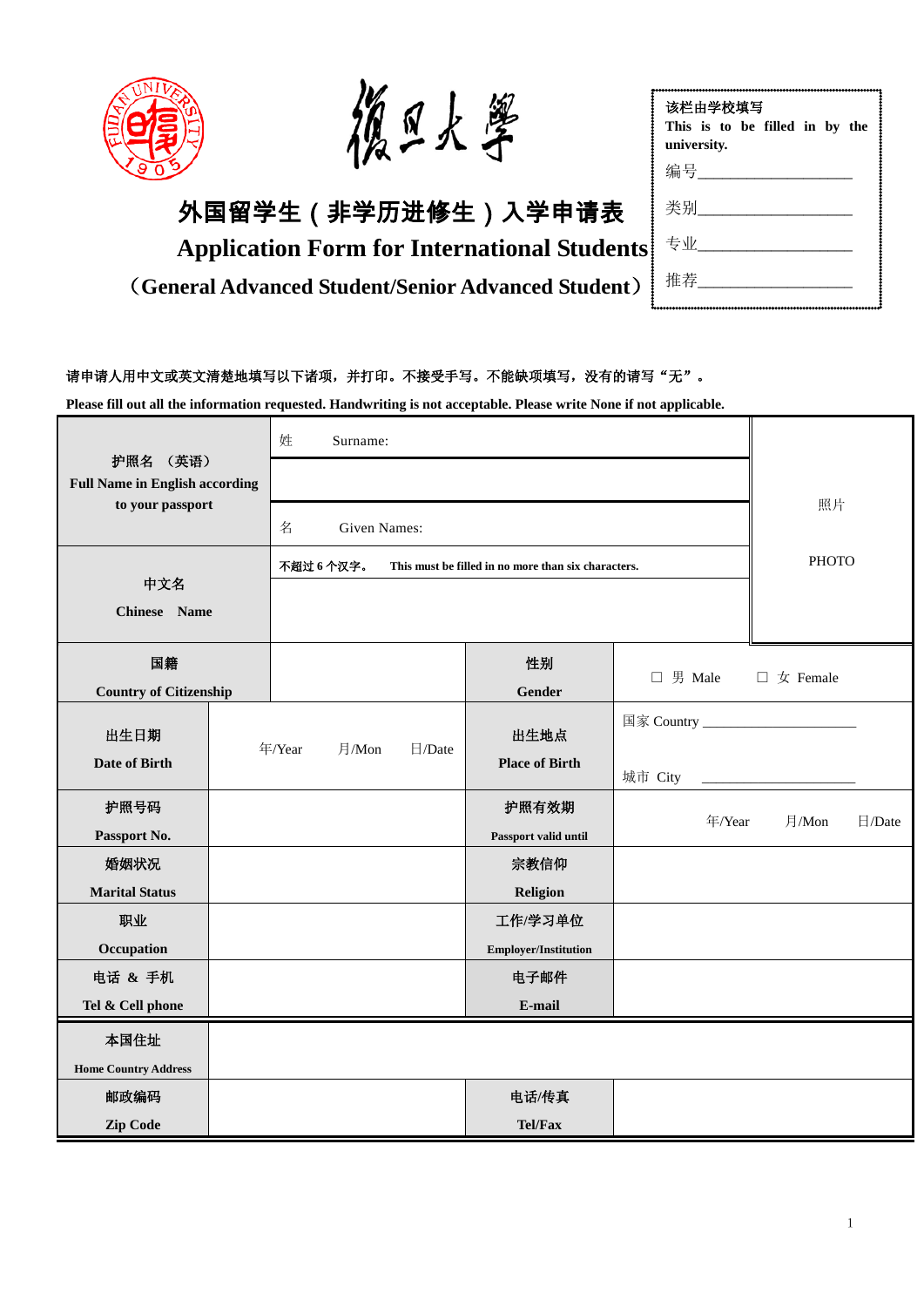



# 外国留学生(非学历进修生)入学申请表

**Application Form for International Students**

(**General Advanced Student/Senior Advanced Student**)

| 该栏由学校填写                        |  |  |  |  |  |  |  |  |  |
|--------------------------------|--|--|--|--|--|--|--|--|--|
| This is to be filled in by the |  |  |  |  |  |  |  |  |  |
| university.                    |  |  |  |  |  |  |  |  |  |
| 编号                             |  |  |  |  |  |  |  |  |  |
| 类别___                          |  |  |  |  |  |  |  |  |  |
| 专业                             |  |  |  |  |  |  |  |  |  |
| 推荐                             |  |  |  |  |  |  |  |  |  |

## 请申请人用中文或英文清楚地填写以下诸项,并打印。不接受手写。不能缺项填写,没有的请写"无"。

**Please fill out all the information requested. Handwriting is not acceptable. Please write None if not applicable.** 

| 护照名 (英语)<br><b>Full Name in English according</b><br>to your passport |  | 姓                               | Surname:                                                         |              |                             |                                        |                           |        |
|-----------------------------------------------------------------------|--|---------------------------------|------------------------------------------------------------------|--------------|-----------------------------|----------------------------------------|---------------------------|--------|
|                                                                       |  |                                 |                                                                  |              |                             |                                        |                           |        |
|                                                                       |  | 名                               | <b>Given Names:</b>                                              | 照片           |                             |                                        |                           |        |
|                                                                       |  |                                 | 不超过 6个汉字。<br>This must be filled in no more than six characters. | <b>PHOTO</b> |                             |                                        |                           |        |
| 中文名<br>Chinese Name                                                   |  |                                 |                                                                  |              |                             |                                        |                           |        |
| 国籍<br><b>Country of Citizenship</b>                                   |  |                                 |                                                                  |              | 性别<br><b>Gender</b>         | $\Box$ 男 Male                          | $\Box \not\subset$ Female |        |
| 出生日期                                                                  |  | 年/Year<br>月/Mon<br>$\Box$ /Date |                                                                  |              | 出生地点                        | 国家 Country ___________________________ |                           |        |
| <b>Date of Birth</b>                                                  |  |                                 |                                                                  |              | <b>Place of Birth</b>       | 城市 City                                |                           |        |
| 护照号码                                                                  |  |                                 |                                                                  |              | 护照有效期                       | 年/Year                                 | 月/Mon                     | 日/Date |
| Passport No.                                                          |  |                                 |                                                                  |              | Passport valid until        |                                        |                           |        |
| 婚姻状况                                                                  |  |                                 |                                                                  |              | 宗教信仰                        |                                        |                           |        |
| <b>Marital Status</b>                                                 |  |                                 |                                                                  |              | Religion                    |                                        |                           |        |
| 职业                                                                    |  |                                 |                                                                  |              | 工作/学习单位                     |                                        |                           |        |
| Occupation                                                            |  |                                 |                                                                  |              | <b>Employer/Institution</b> |                                        |                           |        |
| 电话 & 手机                                                               |  |                                 |                                                                  |              | 电子邮件                        |                                        |                           |        |
| Tel & Cell phone                                                      |  |                                 |                                                                  |              | E-mail                      |                                        |                           |        |
| 本国住址                                                                  |  |                                 |                                                                  |              |                             |                                        |                           |        |
| <b>Home Country Address</b>                                           |  |                                 |                                                                  |              |                             |                                        |                           |        |
| 邮政编码                                                                  |  |                                 |                                                                  |              | 电话/传真                       |                                        |                           |        |
| <b>Zip Code</b>                                                       |  |                                 |                                                                  |              | Tel/Fax                     |                                        |                           |        |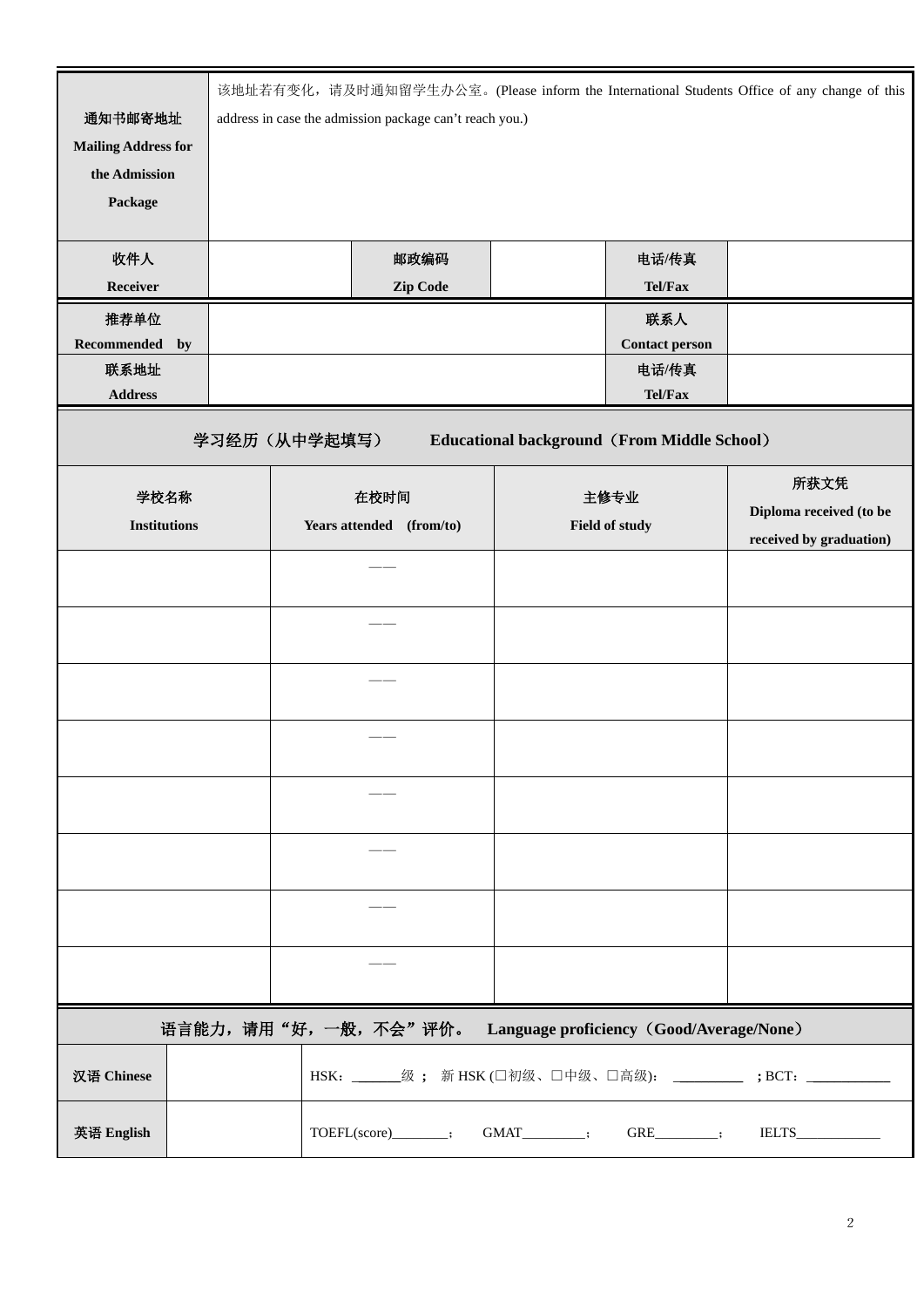| 通知书邮寄地址<br><b>Mailing Address for</b><br>the Admission<br>Package<br>收件人<br>Receiver<br>推荐单位<br>Recommended<br>联系地址<br><b>Address</b> | by | 该地址若有变化, 请及时通知留学生办公室。(Please inform the International Students Office of any change of this<br>address in case the admission package can't reach you.)<br>邮政编码<br>电话/传真<br>Tel/Fax<br>Zip Code<br>联系人<br><b>Contact person</b><br>电话/传真<br>Tel/Fax |                                  |                      |  |                        |  |                                                    |                                                                     |
|---------------------------------------------------------------------------------------------------------------------------------------|----|----------------------------------------------------------------------------------------------------------------------------------------------------------------------------------------------------------------------------------------------------|----------------------------------|----------------------|--|------------------------|--|----------------------------------------------------|---------------------------------------------------------------------|
|                                                                                                                                       |    |                                                                                                                                                                                                                                                    | 学习经历(从中学起填写)                     |                      |  |                        |  | <b>Educational background (From Middle School)</b> |                                                                     |
| 学校名称<br><b>Institutions</b>                                                                                                           |    |                                                                                                                                                                                                                                                    | 在校时间<br>Years attended (from/to) |                      |  | 主修专业<br>Field of study |  |                                                    | 所获文凭<br>Diploma received (to be<br>received by graduation)          |
|                                                                                                                                       |    |                                                                                                                                                                                                                                                    |                                  |                      |  |                        |  |                                                    |                                                                     |
|                                                                                                                                       |    |                                                                                                                                                                                                                                                    |                                  |                      |  |                        |  |                                                    |                                                                     |
|                                                                                                                                       |    |                                                                                                                                                                                                                                                    |                                  |                      |  |                        |  |                                                    |                                                                     |
|                                                                                                                                       |    |                                                                                                                                                                                                                                                    |                                  |                      |  |                        |  |                                                    |                                                                     |
|                                                                                                                                       |    |                                                                                                                                                                                                                                                    |                                  |                      |  |                        |  |                                                    |                                                                     |
|                                                                                                                                       |    |                                                                                                                                                                                                                                                    |                                  |                      |  |                        |  |                                                    |                                                                     |
|                                                                                                                                       |    |                                                                                                                                                                                                                                                    |                                  |                      |  |                        |  |                                                    |                                                                     |
|                                                                                                                                       |    |                                                                                                                                                                                                                                                    |                                  |                      |  |                        |  |                                                    |                                                                     |
| 语言能力,请用"好,一般,不会"评价。<br>Language proficiency (Good/Average/None)                                                                       |    |                                                                                                                                                                                                                                                    |                                  |                      |  |                        |  |                                                    |                                                                     |
| 汉语 Chinese                                                                                                                            |    |                                                                                                                                                                                                                                                    |                                  |                      |  |                        |  |                                                    | HSK: _______级; 新HSK (□初级、□中级、□高级): __________; BCT: _______________ |
| 英语 English                                                                                                                            |    |                                                                                                                                                                                                                                                    |                                  | TOEFL(score)_______; |  | $GMAT$ :               |  | $GRE$ <sub><math>\qquad</math>;</sub>              |                                                                     |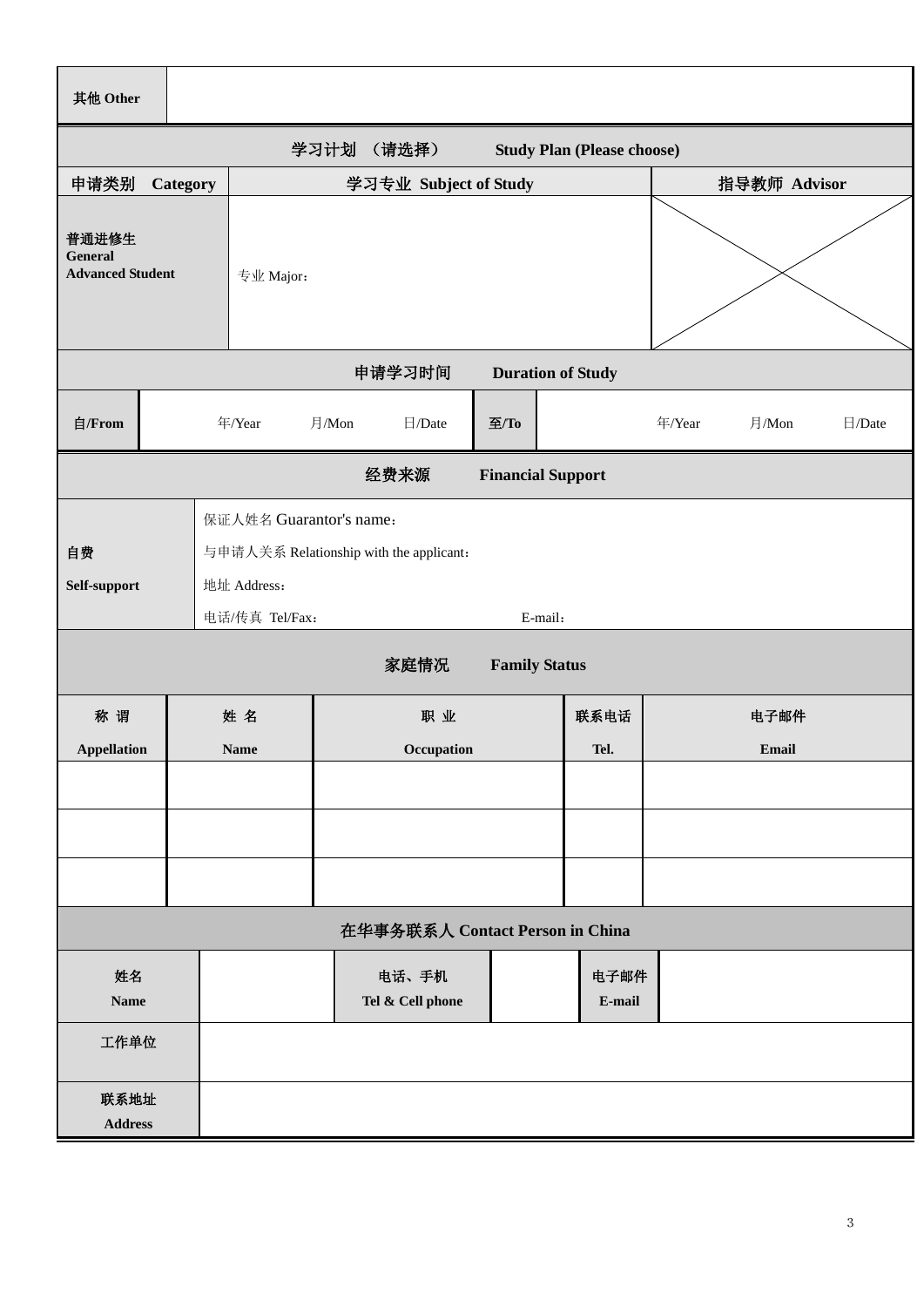| 其他 Other                                                  |          |                                                                                   |                           |  |      |                |        |               |              |  |  |
|-----------------------------------------------------------|----------|-----------------------------------------------------------------------------------|---------------------------|--|------|----------------|--------|---------------|--------------|--|--|
| 学习计划<br>(请选择)<br><b>Study Plan (Please choose)</b>        |          |                                                                                   |                           |  |      |                |        |               |              |  |  |
| 申请类别                                                      | Category | 学习专业 Subject of Study                                                             |                           |  |      |                |        | 指导教师 Advisor  |              |  |  |
| 普通进修生<br><b>General</b><br><b>Advanced Student</b>        |          | 专业 Major:                                                                         |                           |  |      |                |        |               |              |  |  |
| 申请学习时间<br><b>Duration of Study</b>                        |          |                                                                                   |                           |  |      |                |        |               |              |  |  |
| 自/From                                                    |          | 年/Year                                                                            | 月/Mon<br>$\Box$ /Date     |  | 至/To |                | 年/Year | 月/Mon         | $\Box$ /Date |  |  |
| 经费来源<br><b>Financial Support</b>                          |          |                                                                                   |                           |  |      |                |        |               |              |  |  |
| 自费<br>Self-support                                        |          | 保证人姓名 Guarantor's name:<br>与申请人关系 Relationship with the applicant:<br>地址 Address: |                           |  |      |                |        |               |              |  |  |
| 电话/传真 Tel/Fax:<br>E-mail:<br>家庭情况<br><b>Family Status</b> |          |                                                                                   |                           |  |      |                |        |               |              |  |  |
| 称谓<br><b>Appellation</b>                                  |          | 姓名<br><b>Name</b>                                                                 | 职业<br>Occupation          |  |      | 联系电话<br>Tel.   |        | 电子邮件<br>Email |              |  |  |
|                                                           |          |                                                                                   |                           |  |      |                |        |               |              |  |  |
|                                                           |          |                                                                                   |                           |  |      |                |        |               |              |  |  |
|                                                           |          |                                                                                   |                           |  |      |                |        |               |              |  |  |
| 在华事务联系人 Contact Person in China                           |          |                                                                                   |                           |  |      |                |        |               |              |  |  |
| 姓名<br><b>Name</b>                                         |          |                                                                                   | 电话、手机<br>Tel & Cell phone |  |      | 电子邮件<br>E-mail |        |               |              |  |  |
| 工作单位                                                      |          |                                                                                   |                           |  |      |                |        |               |              |  |  |
| 联系地址<br><b>Address</b>                                    |          |                                                                                   |                           |  |      |                |        |               |              |  |  |